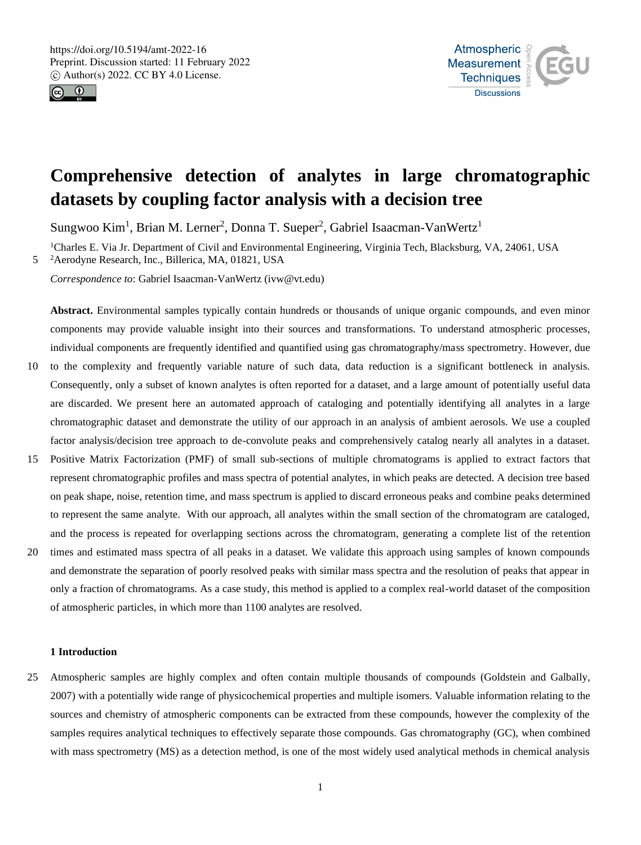



# **Comprehensive detection of analytes in large chromatographic datasets by coupling factor analysis with a decision tree**

Sungwoo Kim<sup>1</sup>, Brian M. Lerner<sup>2</sup>, Donna T. Sueper<sup>2</sup>, Gabriel Isaacman-VanWertz<sup>1</sup>

<sup>1</sup>Charles E. Via Jr. Department of Civil and Environmental Engineering, Virginia Tech, Blacksburg, VA, 24061, USA 5 <sup>2</sup>Aerodyne Research, Inc., Billerica, MA, 01821, USA

*Correspondence to*: Gabriel Isaacman-VanWertz (ivw@vt.edu)

**Abstract.** Environmental samples typically contain hundreds or thousands of unique organic compounds, and even minor components may provide valuable insight into their sources and transformations. To understand atmospheric processes, individual components are frequently identified and quantified using gas chromatography/mass spectrometry. However, due

- 10 to the complexity and frequently variable nature of such data, data reduction is a significant bottleneck in analysis. Consequently, only a subset of known analytes is often reported for a dataset, and a large amount of potentially useful data are discarded. We present here an automated approach of cataloging and potentially identifying all analytes in a large chromatographic dataset and demonstrate the utility of our approach in an analysis of ambient aerosols. We use a coupled factor analysis/decision tree approach to de-convolute peaks and comprehensively catalog nearly all analytes in a dataset.
- 15 Positive Matrix Factorization (PMF) of small sub-sections of multiple chromatograms is applied to extract factors that represent chromatographic profiles and mass spectra of potential analytes, in which peaks are detected. A decision tree based on peak shape, noise, retention time, and mass spectrum is applied to discard erroneous peaks and combine peaks determined to represent the same analyte. With our approach, all analytes within the small section of the chromatogram are cataloged, and the process is repeated for overlapping sections across the chromatogram, generating a complete list of the retention
- 20 times and estimated mass spectra of all peaks in a dataset. We validate this approach using samples of known compounds and demonstrate the separation of poorly resolved peaks with similar mass spectra and the resolution of peaks that appear in only a fraction of chromatograms. As a case study, this method is applied to a complex real-world dataset of the composition of atmospheric particles, in which more than 1100 analytes are resolved.

#### **1 Introduction**

25 Atmospheric samples are highly complex and often contain multiple thousands of compounds (Goldstein and Galbally, 2007) with a potentially wide range of physicochemical properties and multiple isomers. Valuable information relating to the sources and chemistry of atmospheric components can be extracted from these compounds, however the complexity of the samples requires analytical techniques to effectively separate those compounds. Gas chromatography (GC), when combined with mass spectrometry (MS) as a detection method, is one of the most widely used analytical methods in chemical analysis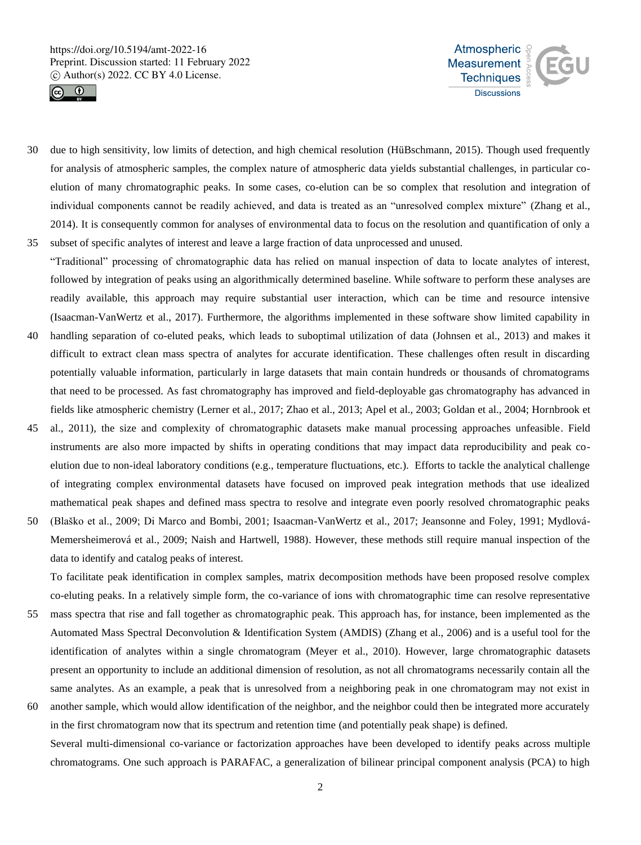



- 30 due to high sensitivity, low limits of detection, and high chemical resolution (HüBschmann, 2015). Though used frequently for analysis of atmospheric samples, the complex nature of atmospheric data yields substantial challenges, in particular coelution of many chromatographic peaks. In some cases, co-elution can be so complex that resolution and integration of individual components cannot be readily achieved, and data is treated as an "unresolved complex mixture" (Zhang et al., 2014). It is consequently common for analyses of environmental data to focus on the resolution and quantification of only a 35 subset of specific analytes of interest and leave a large fraction of data unprocessed and unused.
- "Traditional" processing of chromatographic data has relied on manual inspection of data to locate analytes of interest, followed by integration of peaks using an algorithmically determined baseline. While software to perform these analyses are readily available, this approach may require substantial user interaction, which can be time and resource intensive (Isaacman-VanWertz et al., 2017). Furthermore, the algorithms implemented in these software show limited capability in
- 40 handling separation of co-eluted peaks, which leads to suboptimal utilization of data (Johnsen et al., 2013) and makes it difficult to extract clean mass spectra of analytes for accurate identification. These challenges often result in discarding potentially valuable information, particularly in large datasets that main contain hundreds or thousands of chromatograms that need to be processed. As fast chromatography has improved and field-deployable gas chromatography has advanced in fields like atmospheric chemistry (Lerner et al., 2017; Zhao et al., 2013; Apel et al., 2003; Goldan et al., 2004; Hornbrook et
- 45 al., 2011), the size and complexity of chromatographic datasets make manual processing approaches unfeasible. Field instruments are also more impacted by shifts in operating conditions that may impact data reproducibility and peak coelution due to non-ideal laboratory conditions (e.g., temperature fluctuations, etc.). Efforts to tackle the analytical challenge of integrating complex environmental datasets have focused on improved peak integration methods that use idealized mathematical peak shapes and defined mass spectra to resolve and integrate even poorly resolved chromatographic peaks
- 50 (Blaško et al., 2009; Di Marco and Bombi, 2001; Isaacman-VanWertz et al., 2017; Jeansonne and Foley, 1991; Mydlová-Memersheimerová et al., 2009; Naish and Hartwell, 1988). However, these methods still require manual inspection of the data to identify and catalog peaks of interest.

To facilitate peak identification in complex samples, matrix decomposition methods have been proposed resolve complex co-eluting peaks. In a relatively simple form, the co-variance of ions with chromatographic time can resolve representative

- 55 mass spectra that rise and fall together as chromatographic peak. This approach has, for instance, been implemented as the Automated Mass Spectral Deconvolution & Identification System (AMDIS) (Zhang et al., 2006) and is a useful tool for the identification of analytes within a single chromatogram (Meyer et al., 2010). However, large chromatographic datasets present an opportunity to include an additional dimension of resolution, as not all chromatograms necessarily contain all the same analytes. As an example, a peak that is unresolved from a neighboring peak in one chromatogram may not exist in
- 60 another sample, which would allow identification of the neighbor, and the neighbor could then be integrated more accurately in the first chromatogram now that its spectrum and retention time (and potentially peak shape) is defined. Several multi-dimensional co-variance or factorization approaches have been developed to identify peaks across multiple chromatograms. One such approach is PARAFAC, a generalization of bilinear principal component analysis (PCA) to high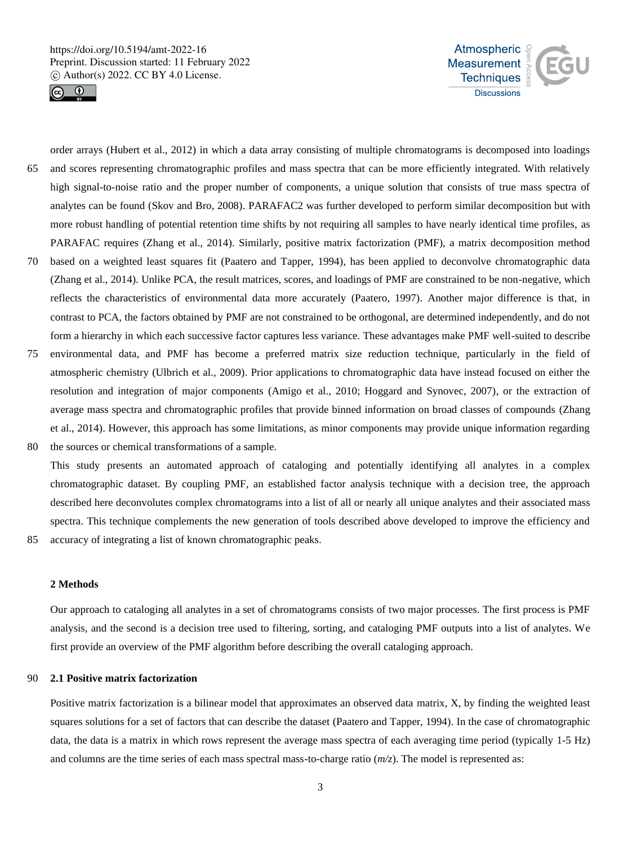



order arrays (Hubert et al., 2012) in which a data array consisting of multiple chromatograms is decomposed into loadings 65 and scores representing chromatographic profiles and mass spectra that can be more efficiently integrated. With relatively high signal-to-noise ratio and the proper number of components, a unique solution that consists of true mass spectra of analytes can be found (Skov and Bro, 2008). PARAFAC2 was further developed to perform similar decomposition but with more robust handling of potential retention time shifts by not requiring all samples to have nearly identical time profiles, as PARAFAC requires (Zhang et al., 2014). Similarly, positive matrix factorization (PMF), a matrix decomposition method 70 based on a weighted least squares fit (Paatero and Tapper, 1994), has been applied to deconvolve chromatographic data (Zhang et al., 2014). Unlike PCA, the result matrices, scores, and loadings of PMF are constrained to be non-negative, which reflects the characteristics of environmental data more accurately (Paatero, 1997). Another major difference is that, in

contrast to PCA, the factors obtained by PMF are not constrained to be orthogonal, are determined independently, and do not form a hierarchy in which each successive factor captures less variance. These advantages make PMF well-suited to describe

75 environmental data, and PMF has become a preferred matrix size reduction technique, particularly in the field of atmospheric chemistry (Ulbrich et al., 2009). Prior applications to chromatographic data have instead focused on either the resolution and integration of major components (Amigo et al., 2010; Hoggard and Synovec, 2007), or the extraction of average mass spectra and chromatographic profiles that provide binned information on broad classes of compounds (Zhang et al., 2014). However, this approach has some limitations, as minor components may provide unique information regarding 80 the sources or chemical transformations of a sample.

This study presents an automated approach of cataloging and potentially identifying all analytes in a complex chromatographic dataset. By coupling PMF, an established factor analysis technique with a decision tree, the approach described here deconvolutes complex chromatograms into a list of all or nearly all unique analytes and their associated mass spectra. This technique complements the new generation of tools described above developed to improve the efficiency and

85 accuracy of integrating a list of known chromatographic peaks.

#### **2 Methods**

Our approach to cataloging all analytes in a set of chromatograms consists of two major processes. The first process is PMF analysis, and the second is a decision tree used to filtering, sorting, and cataloging PMF outputs into a list of analytes. We first provide an overview of the PMF algorithm before describing the overall cataloging approach.

## 90 **2.1 Positive matrix factorization**

Positive matrix factorization is a bilinear model that approximates an observed data matrix, X, by finding the weighted least squares solutions for a set of factors that can describe the dataset (Paatero and Tapper, 1994). In the case of chromatographic data, the data is a matrix in which rows represent the average mass spectra of each averaging time period (typically 1-5 Hz) and columns are the time series of each mass spectral mass-to-charge ratio (*m/z*). The model is represented as: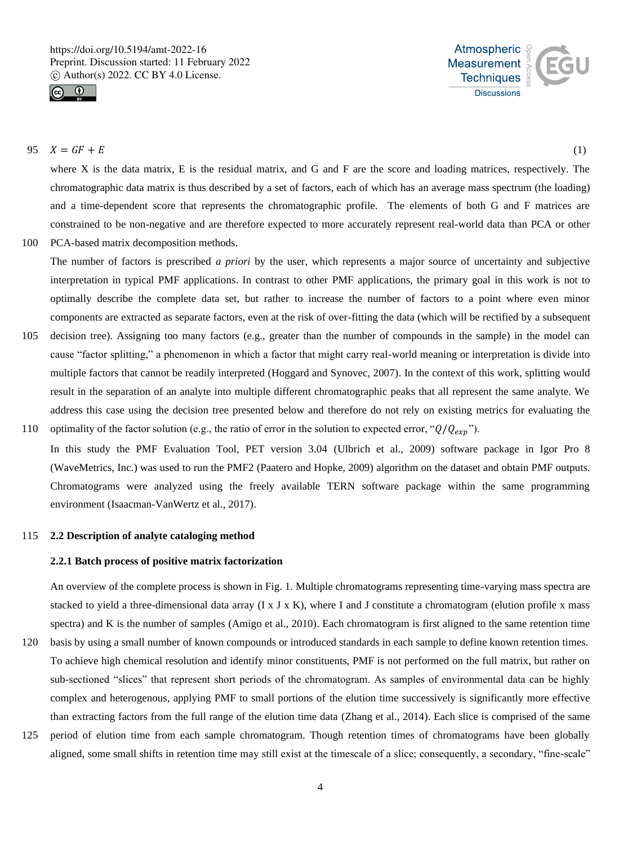



## 95  $X = GF + E$  (1)

where X is the data matrix, E is the residual matrix, and G and F are the score and loading matrices, respectively. The chromatographic data matrix is thus described by a set of factors, each of which has an average mass spectrum (the loading) and a time-dependent score that represents the chromatographic profile. The elements of both G and F matrices are constrained to be non-negative and are therefore expected to more accurately represent real-world data than PCA or other

100 PCA-based matrix decomposition methods.

The number of factors is prescribed *a priori* by the user, which represents a major source of uncertainty and subjective interpretation in typical PMF applications. In contrast to other PMF applications, the primary goal in this work is not to optimally describe the complete data set, but rather to increase the number of factors to a point where even minor components are extracted as separate factors, even at the risk of over-fitting the data (which will be rectified by a subsequent

- 105 decision tree). Assigning too many factors (e.g., greater than the number of compounds in the sample) in the model can cause "factor splitting," a phenomenon in which a factor that might carry real-world meaning or interpretation is divide into multiple factors that cannot be readily interpreted (Hoggard and Synovec, 2007). In the context of this work, splitting would result in the separation of an analyte into multiple different chromatographic peaks that all represent the same analyte. We address this case using the decision tree presented below and therefore do not rely on existing metrics for evaluating the
- 110 optimality of the factor solution (e.g., the ratio of error in the solution to expected error, " $Q/Q_{exp}$ "). In this study the PMF Evaluation Tool, PET version 3.04 (Ulbrich et al., 2009) software package in Igor Pro 8 (WaveMetrics, Inc.) was used to run the PMF2 (Paatero and Hopke, 2009) algorithm on the dataset and obtain PMF outputs. Chromatograms were analyzed using the freely available TERN software package within the same programming environment (Isaacman-VanWertz et al., 2017).

# 115 **2.2 Description of analyte cataloging method**

#### **2.2.1 Batch process of positive matrix factorization**

An overview of the complete process is shown in Fig. 1. Multiple chromatograms representing time-varying mass spectra are stacked to yield a three-dimensional data array  $(I \times J \times K)$ , where I and J constitute a chromatogram (elution profile x mass spectra) and K is the number of samples (Amigo et al., 2010). Each chromatogram is first aligned to the same retention time

- 120 basis by using a small number of known compounds or introduced standards in each sample to define known retention times. To achieve high chemical resolution and identify minor constituents, PMF is not performed on the full matrix, but rather on sub-sectioned "slices" that represent short periods of the chromatogram. As samples of environmental data can be highly complex and heterogenous, applying PMF to small portions of the elution time successively is significantly more effective than extracting factors from the full range of the elution time data (Zhang et al., 2014). Each slice is comprised of the same
- 125 period of elution time from each sample chromatogram. Though retention times of chromatograms have been globally aligned, some small shifts in retention time may still exist at the timescale of a slice; consequently, a secondary, "fine-scale"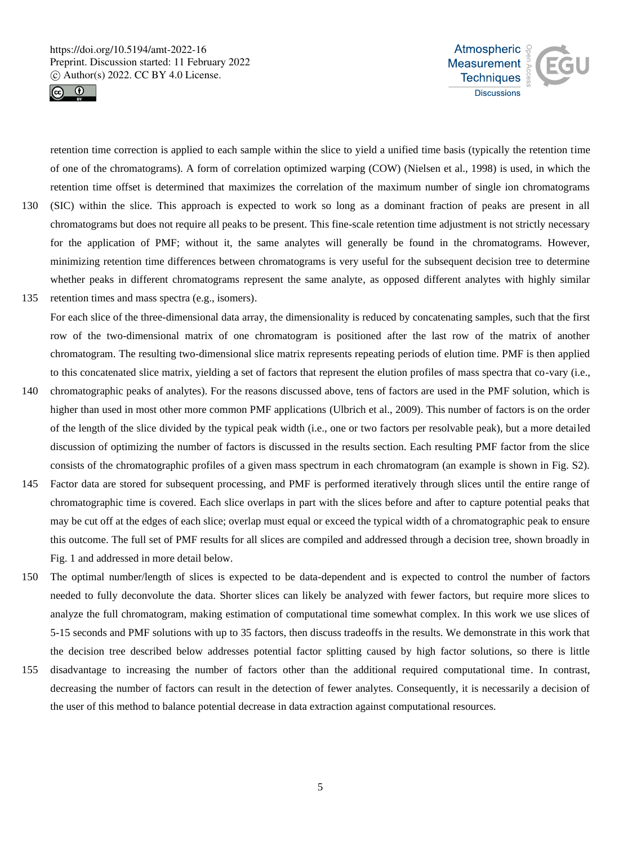



retention time correction is applied to each sample within the slice to yield a unified time basis (typically the retention time of one of the chromatograms). A form of correlation optimized warping (COW) (Nielsen et al., 1998) is used, in which the retention time offset is determined that maximizes the correlation of the maximum number of single ion chromatograms 130 (SIC) within the slice. This approach is expected to work so long as a dominant fraction of peaks are present in all chromatograms but does not require all peaks to be present. This fine-scale retention time adjustment is not strictly necessary for the application of PMF; without it, the same analytes will generally be found in the chromatograms. However, minimizing retention time differences between chromatograms is very useful for the subsequent decision tree to determine whether peaks in different chromatograms represent the same analyte, as opposed different analytes with highly similar 135 retention times and mass spectra (e.g., isomers).

For each slice of the three-dimensional data array, the dimensionality is reduced by concatenating samples, such that the first row of the two-dimensional matrix of one chromatogram is positioned after the last row of the matrix of another chromatogram. The resulting two-dimensional slice matrix represents repeating periods of elution time. PMF is then applied to this concatenated slice matrix, yielding a set of factors that represent the elution profiles of mass spectra that co-vary (i.e.,

- 140 chromatographic peaks of analytes). For the reasons discussed above, tens of factors are used in the PMF solution, which is higher than used in most other more common PMF applications (Ulbrich et al., 2009). This number of factors is on the order of the length of the slice divided by the typical peak width (i.e., one or two factors per resolvable peak), but a more detailed discussion of optimizing the number of factors is discussed in the results section. Each resulting PMF factor from the slice consists of the chromatographic profiles of a given mass spectrum in each chromatogram (an example is shown in Fig. S2).
- 145 Factor data are stored for subsequent processing, and PMF is performed iteratively through slices until the entire range of chromatographic time is covered. Each slice overlaps in part with the slices before and after to capture potential peaks that may be cut off at the edges of each slice; overlap must equal or exceed the typical width of a chromatographic peak to ensure this outcome. The full set of PMF results for all slices are compiled and addressed through a decision tree, shown broadly in Fig. 1 and addressed in more detail below.
- 150 The optimal number/length of slices is expected to be data-dependent and is expected to control the number of factors needed to fully deconvolute the data. Shorter slices can likely be analyzed with fewer factors, but require more slices to analyze the full chromatogram, making estimation of computational time somewhat complex. In this work we use slices of 5-15 seconds and PMF solutions with up to 35 factors, then discuss tradeoffs in the results. We demonstrate in this work that the decision tree described below addresses potential factor splitting caused by high factor solutions, so there is little
- 155 disadvantage to increasing the number of factors other than the additional required computational time. In contrast, decreasing the number of factors can result in the detection of fewer analytes. Consequently, it is necessarily a decision of the user of this method to balance potential decrease in data extraction against computational resources.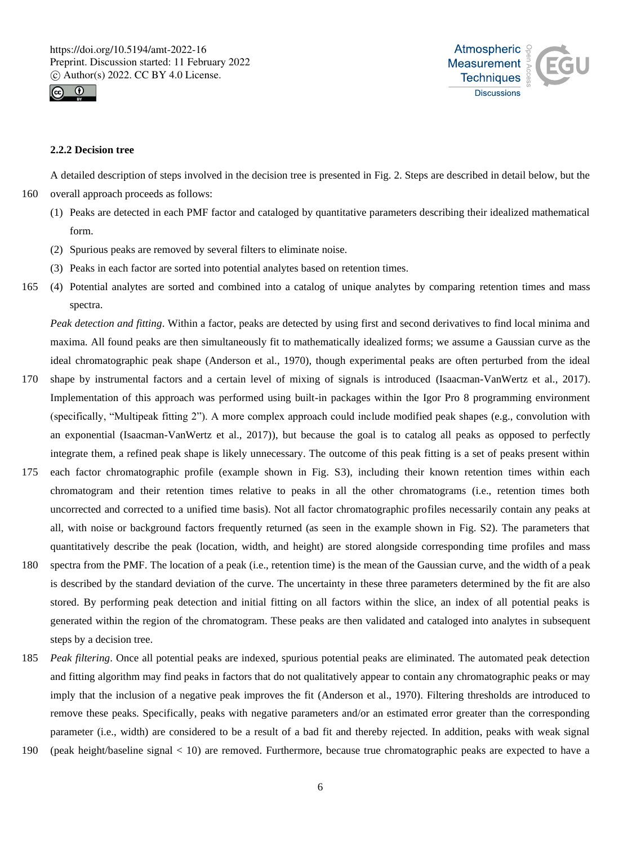



## **2.2.2 Decision tree**

A detailed description of steps involved in the decision tree is presented in Fig. 2. Steps are described in detail below, but the 160 overall approach proceeds as follows:

- (1) Peaks are detected in each PMF factor and cataloged by quantitative parameters describing their idealized mathematical form.
- (2) Spurious peaks are removed by several filters to eliminate noise.
- (3) Peaks in each factor are sorted into potential analytes based on retention times.
- 165 (4) Potential analytes are sorted and combined into a catalog of unique analytes by comparing retention times and mass spectra.

*Peak detection and fitting*. Within a factor, peaks are detected by using first and second derivatives to find local minima and maxima. All found peaks are then simultaneously fit to mathematically idealized forms; we assume a Gaussian curve as the ideal chromatographic peak shape (Anderson et al., 1970), though experimental peaks are often perturbed from the ideal

- 170 shape by instrumental factors and a certain level of mixing of signals is introduced (Isaacman-VanWertz et al., 2017). Implementation of this approach was performed using built-in packages within the Igor Pro 8 programming environment (specifically, "Multipeak fitting 2"). A more complex approach could include modified peak shapes (e.g., convolution with an exponential (Isaacman-VanWertz et al., 2017)), but because the goal is to catalog all peaks as opposed to perfectly integrate them, a refined peak shape is likely unnecessary. The outcome of this peak fitting is a set of peaks present within
- 175 each factor chromatographic profile (example shown in Fig. S3), including their known retention times within each chromatogram and their retention times relative to peaks in all the other chromatograms (i.e., retention times both uncorrected and corrected to a unified time basis). Not all factor chromatographic profiles necessarily contain any peaks at all, with noise or background factors frequently returned (as seen in the example shown in Fig. S2). The parameters that quantitatively describe the peak (location, width, and height) are stored alongside corresponding time profiles and mass
- 180 spectra from the PMF. The location of a peak (i.e., retention time) is the mean of the Gaussian curve, and the width of a peak is described by the standard deviation of the curve. The uncertainty in these three parameters determined by the fit are also stored. By performing peak detection and initial fitting on all factors within the slice, an index of all potential peaks is generated within the region of the chromatogram. These peaks are then validated and cataloged into analytes in subsequent steps by a decision tree.
- 185 *Peak filtering*. Once all potential peaks are indexed, spurious potential peaks are eliminated. The automated peak detection and fitting algorithm may find peaks in factors that do not qualitatively appear to contain any chromatographic peaks or may imply that the inclusion of a negative peak improves the fit (Anderson et al., 1970). Filtering thresholds are introduced to remove these peaks. Specifically, peaks with negative parameters and/or an estimated error greater than the corresponding parameter (i.e., width) are considered to be a result of a bad fit and thereby rejected. In addition, peaks with weak signal
- 190 (peak height/baseline signal < 10) are removed. Furthermore, because true chromatographic peaks are expected to have a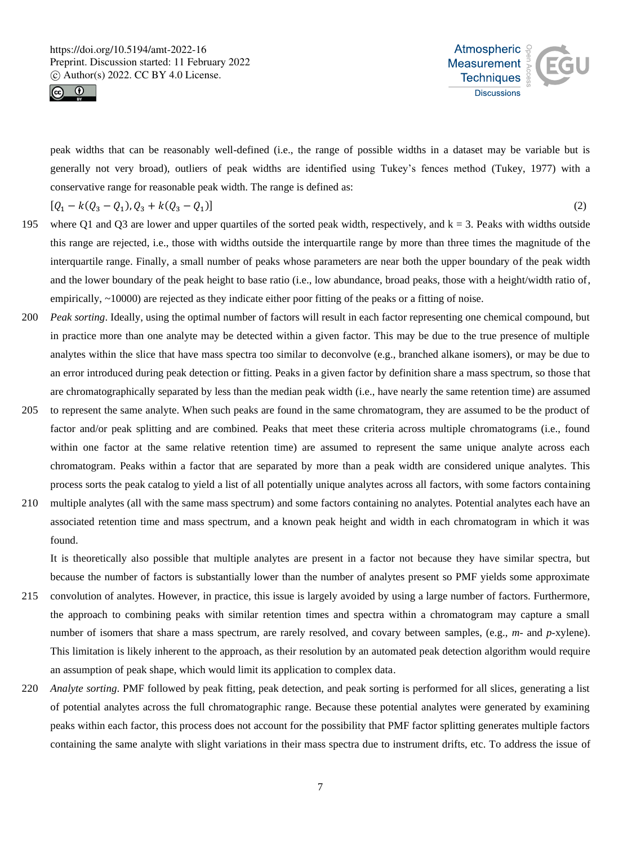



peak widths that can be reasonably well-defined (i.e., the range of possible widths in a dataset may be variable but is generally not very broad), outliers of peak widths are identified using Tukey's fences method (Tukey, 1977) with a conservative range for reasonable peak width. The range is defined as:

$$
[Q_1 - k(Q_3 - Q_1), Q_3 + k(Q_3 - Q_1)]
$$

)]  $\left[ \begin{array}{ccc} 2 & 0 & 0 \\ 0 & 0 & 0 \\ 0 & 0 & 0 \\ 0 & 0 & 0 \\ 0 & 0 & 0 \\ 0 & 0 & 0 \\ 0 & 0 & 0 \\ 0 & 0 & 0 \\ 0 & 0 & 0 \\ 0 & 0 & 0 \\ 0 & 0 & 0 \\ 0 & 0 & 0 & 0 \\ 0 & 0 & 0 & 0 \\ 0 & 0 & 0 & 0 \\ 0 & 0 & 0 & 0 \\ 0 & 0 & 0 & 0 & 0 \\ 0 & 0 & 0 & 0 & 0 \\ 0 & 0 & 0 & 0 & 0 \\ 0 & 0 & 0 & 0 & 0 \\$ 

195 where Q1 and Q3 are lower and upper quartiles of the sorted peak width, respectively, and  $k = 3$ . Peaks with widths outside this range are rejected, i.e., those with widths outside the interquartile range by more than three times the magnitude of the interquartile range. Finally, a small number of peaks whose parameters are near both the upper boundary of the peak width and the lower boundary of the peak height to base ratio (i.e., low abundance, broad peaks, those with a height/width ratio of, empirically, ~10000) are rejected as they indicate either poor fitting of the peaks or a fitting of noise.

- 200 *Peak sorting*. Ideally, using the optimal number of factors will result in each factor representing one chemical compound, but in practice more than one analyte may be detected within a given factor. This may be due to the true presence of multiple analytes within the slice that have mass spectra too similar to deconvolve (e.g., branched alkane isomers), or may be due to an error introduced during peak detection or fitting. Peaks in a given factor by definition share a mass spectrum, so those that are chromatographically separated by less than the median peak width (i.e., have nearly the same retention time) are assumed
- 205 to represent the same analyte. When such peaks are found in the same chromatogram, they are assumed to be the product of factor and/or peak splitting and are combined. Peaks that meet these criteria across multiple chromatograms (i.e., found within one factor at the same relative retention time) are assumed to represent the same unique analyte across each chromatogram. Peaks within a factor that are separated by more than a peak width are considered unique analytes. This process sorts the peak catalog to yield a list of all potentially unique analytes across all factors, with some factors containing
- 210 multiple analytes (all with the same mass spectrum) and some factors containing no analytes. Potential analytes each have an associated retention time and mass spectrum, and a known peak height and width in each chromatogram in which it was found.

It is theoretically also possible that multiple analytes are present in a factor not because they have similar spectra, but because the number of factors is substantially lower than the number of analytes present so PMF yields some approximate

- 215 convolution of analytes. However, in practice, this issue is largely avoided by using a large number of factors. Furthermore, the approach to combining peaks with similar retention times and spectra within a chromatogram may capture a small number of isomers that share a mass spectrum, are rarely resolved, and covary between samples, (e.g., *m*- and *p*-xylene). This limitation is likely inherent to the approach, as their resolution by an automated peak detection algorithm would require an assumption of peak shape, which would limit its application to complex data.
- 220 *Analyte sorting*. PMF followed by peak fitting, peak detection, and peak sorting is performed for all slices, generating a list of potential analytes across the full chromatographic range. Because these potential analytes were generated by examining peaks within each factor, this process does not account for the possibility that PMF factor splitting generates multiple factors containing the same analyte with slight variations in their mass spectra due to instrument drifts, etc. To address the issue of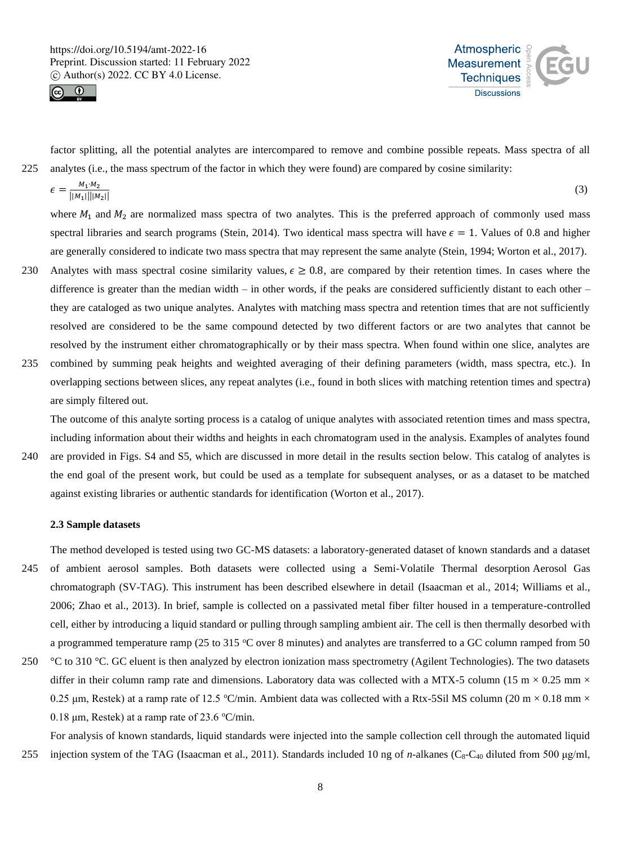



factor splitting, all the potential analytes are intercompared to remove and combine possible repeats. Mass spectra of all 225 analytes (i.e., the mass spectrum of the factor in which they were found) are compared by cosine similarity:

$$
\epsilon = \frac{M_1 \cdot M_2}{||M_1|| ||M_2||} \tag{3}
$$

where  $M_1$  and  $M_2$  are normalized mass spectra of two analytes. This is the preferred approach of commonly used mass spectral libraries and search programs (Stein, 2014). Two identical mass spectra will have  $\epsilon = 1$ . Values of 0.8 and higher are generally considered to indicate two mass spectra that may represent the same analyte (Stein, 1994; Worton et al., 2017).

- 230 Analytes with mass spectral cosine similarity values,  $\epsilon \geq 0.8$ , are compared by their retention times. In cases where the difference is greater than the median width – in other words, if the peaks are considered sufficiently distant to each other – they are cataloged as two unique analytes. Analytes with matching mass spectra and retention times that are not sufficiently resolved are considered to be the same compound detected by two different factors or are two analytes that cannot be resolved by the instrument either chromatographically or by their mass spectra. When found within one slice, analytes are
- 235 combined by summing peak heights and weighted averaging of their defining parameters (width, mass spectra, etc.). In overlapping sections between slices, any repeat analytes (i.e., found in both slices with matching retention times and spectra) are simply filtered out.

The outcome of this analyte sorting process is a catalog of unique analytes with associated retention times and mass spectra, including information about their widths and heights in each chromatogram used in the analysis. Examples of analytes found

240 are provided in Figs. S4 and S5, which are discussed in more detail in the results section below. This catalog of analytes is the end goal of the present work, but could be used as a template for subsequent analyses, or as a dataset to be matched against existing libraries or authentic standards for identification (Worton et al., 2017).

#### **2.3 Sample datasets**

The method developed is tested using two GC-MS datasets: a laboratory-generated dataset of known standards and a dataset 245 of ambient aerosol samples. Both datasets were collected using a Semi-Volatile Thermal desorption Aerosol Gas chromatograph (SV-TAG). This instrument has been described elsewhere in detail (Isaacman et al., 2014; Williams et al., 2006; Zhao et al., 2013). In brief, sample is collected on a passivated metal fiber filter housed in a temperature-controlled cell, either by introducing a liquid standard or pulling through sampling ambient air. The cell is then thermally desorbed with a programmed temperature ramp (25 to 315  $\degree$ C over 8 minutes) and analytes are transferred to a GC column ramped from 50

250 °C to 310 °C. GC eluent is then analyzed by electron ionization mass spectrometry (Agilent Technologies). The two datasets differ in their column ramp rate and dimensions. Laboratory data was collected with a MTX-5 column (15 m  $\times$  0.25 mm  $\times$ 0.25 μm, Restek) at a ramp rate of 12.5 °C/min. Ambient data was collected with a Rtx-5Sil MS column (20 m  $\times$  0.18 mm  $\times$ 0.18  $\mu$ m, Restek) at a ramp rate of 23.6 °C/min.

For analysis of known standards, liquid standards were injected into the sample collection cell through the automated liquid 255 injection system of the TAG (Isaacman et al., 2011). Standards included 10 ng of *n*-alkanes (C<sub>8</sub>-C<sub>40</sub> diluted from 500 μg/ml,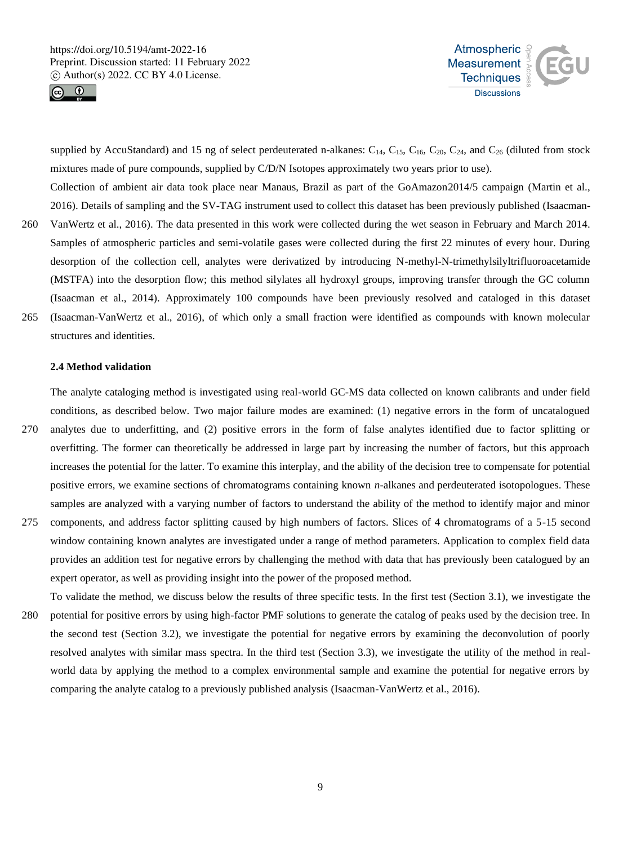



supplied by AccuStandard) and 15 ng of select perdeuterated n-alkanes:  $C_{14}$ ,  $C_{15}$ ,  $C_{16}$ ,  $C_{20}$ ,  $C_{24}$ , and  $C_{26}$  (diluted from stock mixtures made of pure compounds, supplied by C/D/N Isotopes approximately two years prior to use). Collection of ambient air data took place near Manaus, Brazil as part of the GoAmazon2014/5 campaign (Martin et al.,

- 2016). Details of sampling and the SV-TAG instrument used to collect this dataset has been previously published (Isaacman-260 VanWertz et al., 2016). The data presented in this work were collected during the wet season in February and March 2014. Samples of atmospheric particles and semi-volatile gases were collected during the first 22 minutes of every hour. During desorption of the collection cell, analytes were derivatized by introducing N-methyl-N-trimethylsilyltrifluoroacetamide (MSTFA) into the desorption flow; this method silylates all hydroxyl groups, improving transfer through the GC column (Isaacman et al., 2014). Approximately 100 compounds have been previously resolved and cataloged in this dataset 265 (Isaacman-VanWertz et al., 2016), of which only a small fraction were identified as compounds with known molecular structures and identities.
	- **2.4 Method validation**

The analyte cataloging method is investigated using real-world GC-MS data collected on known calibrants and under field conditions, as described below. Two major failure modes are examined: (1) negative errors in the form of uncatalogued

- 270 analytes due to underfitting, and (2) positive errors in the form of false analytes identified due to factor splitting or overfitting. The former can theoretically be addressed in large part by increasing the number of factors, but this approach increases the potential for the latter. To examine this interplay, and the ability of the decision tree to compensate for potential positive errors, we examine sections of chromatograms containing known *n*-alkanes and perdeuterated isotopologues. These samples are analyzed with a varying number of factors to understand the ability of the method to identify major and minor
- 275 components, and address factor splitting caused by high numbers of factors. Slices of 4 chromatograms of a 5-15 second window containing known analytes are investigated under a range of method parameters. Application to complex field data provides an addition test for negative errors by challenging the method with data that has previously been catalogued by an expert operator, as well as providing insight into the power of the proposed method.
- To validate the method, we discuss below the results of three specific tests. In the first test (Section 3.1), we investigate the 280 potential for positive errors by using high-factor PMF solutions to generate the catalog of peaks used by the decision tree. In the second test (Section 3.2), we investigate the potential for negative errors by examining the deconvolution of poorly resolved analytes with similar mass spectra. In the third test (Section 3.3), we investigate the utility of the method in realworld data by applying the method to a complex environmental sample and examine the potential for negative errors by comparing the analyte catalog to a previously published analysis (Isaacman-VanWertz et al., 2016).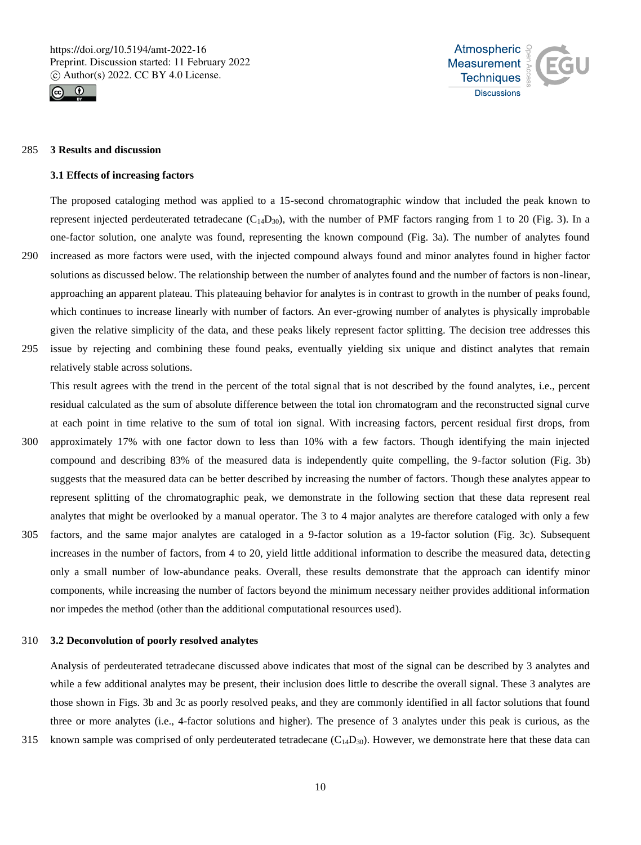



#### 285 **3 Results and discussion**

#### **3.1 Effects of increasing factors**

The proposed cataloging method was applied to a 15-second chromatographic window that included the peak known to represent injected perdeuterated tetradecane  $(C_{14}D_{30})$ , with the number of PMF factors ranging from 1 to 20 (Fig. 3). In a one-factor solution, one analyte was found, representing the known compound (Fig. 3a). The number of analytes found 290 increased as more factors were used, with the injected compound always found and minor analytes found in higher factor

- solutions as discussed below. The relationship between the number of analytes found and the number of factors is non-linear, approaching an apparent plateau. This plateauing behavior for analytes is in contrast to growth in the number of peaks found, which continues to increase linearly with number of factors. An ever-growing number of analytes is physically improbable given the relative simplicity of the data, and these peaks likely represent factor splitting. The decision tree addresses this
- 295 issue by rejecting and combining these found peaks, eventually yielding six unique and distinct analytes that remain relatively stable across solutions.

This result agrees with the trend in the percent of the total signal that is not described by the found analytes, i.e., percent residual calculated as the sum of absolute difference between the total ion chromatogram and the reconstructed signal curve at each point in time relative to the sum of total ion signal. With increasing factors, percent residual first drops, from 300 approximately 17% with one factor down to less than 10% with a few factors. Though identifying the main injected compound and describing 83% of the measured data is independently quite compelling, the 9-factor solution (Fig. 3b)

- suggests that the measured data can be better described by increasing the number of factors. Though these analytes appear to represent splitting of the chromatographic peak, we demonstrate in the following section that these data represent real analytes that might be overlooked by a manual operator. The 3 to 4 major analytes are therefore cataloged with only a few 305 factors, and the same major analytes are cataloged in a 9-factor solution as a 19-factor solution (Fig. 3c). Subsequent increases in the number of factors, from 4 to 20, yield little additional information to describe the measured data, detecting only a small number of low-abundance peaks. Overall, these results demonstrate that the approach can identify minor
- components, while increasing the number of factors beyond the minimum necessary neither provides additional information nor impedes the method (other than the additional computational resources used).

## 310 **3.2 Deconvolution of poorly resolved analytes**

Analysis of perdeuterated tetradecane discussed above indicates that most of the signal can be described by 3 analytes and while a few additional analytes may be present, their inclusion does little to describe the overall signal. These 3 analytes are those shown in Figs. 3b and 3c as poorly resolved peaks, and they are commonly identified in all factor solutions that found three or more analytes (i.e., 4-factor solutions and higher). The presence of 3 analytes under this peak is curious, as the

315 known sample was comprised of only perdeuterated tetradecane  $(C_{14}D_{30})$ . However, we demonstrate here that these data can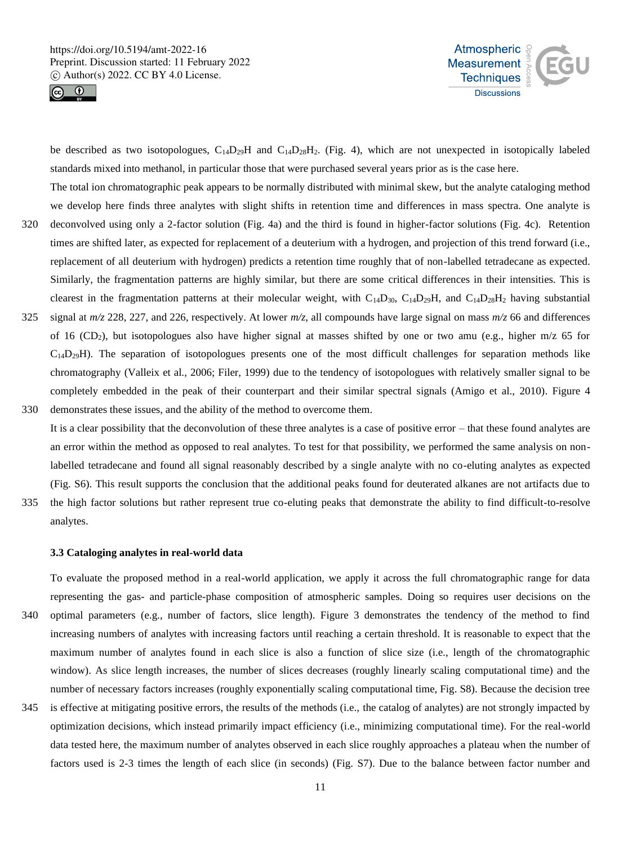



be described as two isotopologues,  $C_{14}D_{29}H$  and  $C_{14}D_{28}H_2$ . (Fig. 4), which are not unexpected in isotopically labeled standards mixed into methanol, in particular those that were purchased several years prior as is the case here.

- The total ion chromatographic peak appears to be normally distributed with minimal skew, but the analyte cataloging method we develop here finds three analytes with slight shifts in retention time and differences in mass spectra. One analyte is 320 deconvolved using only a 2-factor solution (Fig. 4a) and the third is found in higher-factor solutions (Fig. 4c). Retention times are shifted later, as expected for replacement of a deuterium with a hydrogen, and projection of this trend forward (i.e., replacement of all deuterium with hydrogen) predicts a retention time roughly that of non-labelled tetradecane as expected. Similarly, the fragmentation patterns are highly similar, but there are some critical differences in their intensities. This is clearest in the fragmentation patterns at their molecular weight, with  $C_{14}D_{30}$ ,  $C_{14}D_{29}H$ , and  $C_{14}D_{28}H_2$  having substantial 325 signal at  $m/z$  228, 227, and 226, respectively. At lower  $m/z$ , all compounds have large signal on mass  $m/z$  66 and differences
- of 16 (CD2), but isotopologues also have higher signal at masses shifted by one or two amu (e.g., higher m/z 65 for  $C_{14}D_{29}H$ ). The separation of isotopologues presents one of the most difficult challenges for separation methods like chromatography (Valleix et al., 2006; Filer, 1999) due to the tendency of isotopologues with relatively smaller signal to be completely embedded in the peak of their counterpart and their similar spectral signals (Amigo et al., 2010). Figure 4 330 demonstrates these issues, and the ability of the method to overcome them.
- It is a clear possibility that the deconvolution of these three analytes is a case of positive error that these found analytes are an error within the method as opposed to real analytes. To test for that possibility, we performed the same analysis on nonlabelled tetradecane and found all signal reasonably described by a single analyte with no co-eluting analytes as expected (Fig. S6). This result supports the conclusion that the additional peaks found for deuterated alkanes are not artifacts due to
- 335 the high factor solutions but rather represent true co-eluting peaks that demonstrate the ability to find difficult-to-resolve analytes.

#### **3.3 Cataloging analytes in real-world data**

To evaluate the proposed method in a real-world application, we apply it across the full chromatographic range for data representing the gas- and particle-phase composition of atmospheric samples. Doing so requires user decisions on the 340 optimal parameters (e.g., number of factors, slice length). Figure 3 demonstrates the tendency of the method to find increasing numbers of analytes with increasing factors until reaching a certain threshold. It is reasonable to expect that the maximum number of analytes found in each slice is also a function of slice size (i.e., length of the chromatographic window). As slice length increases, the number of slices decreases (roughly linearly scaling computational time) and the number of necessary factors increases (roughly exponentially scaling computational time, Fig. S8). Because the decision tree

345 is effective at mitigating positive errors, the results of the methods (i.e., the catalog of analytes) are not strongly impacted by optimization decisions, which instead primarily impact efficiency (i.e., minimizing computational time). For the real-world data tested here, the maximum number of analytes observed in each slice roughly approaches a plateau when the number of factors used is 2-3 times the length of each slice (in seconds) (Fig. S7). Due to the balance between factor number and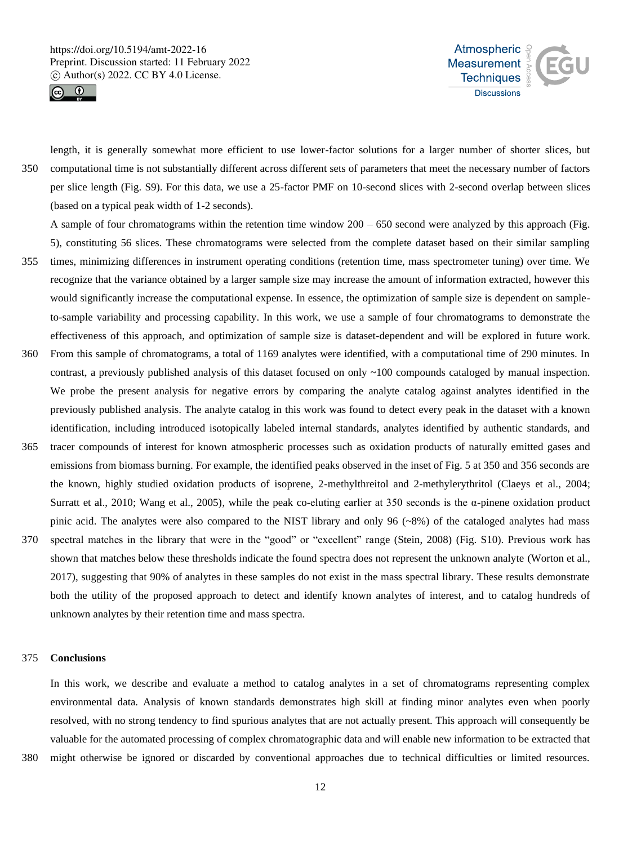



length, it is generally somewhat more efficient to use lower-factor solutions for a larger number of shorter slices, but 350 computational time is not substantially different across different sets of parameters that meet the necessary number of factors per slice length (Fig. S9). For this data, we use a 25-factor PMF on 10-second slices with 2-second overlap between slices (based on a typical peak width of 1-2 seconds).

A sample of four chromatograms within the retention time window 200 – 650 second were analyzed by this approach (Fig. 5), constituting 56 slices. These chromatograms were selected from the complete dataset based on their similar sampling

- 355 times, minimizing differences in instrument operating conditions (retention time, mass spectrometer tuning) over time. We recognize that the variance obtained by a larger sample size may increase the amount of information extracted, however this would significantly increase the computational expense. In essence, the optimization of sample size is dependent on sampleto-sample variability and processing capability. In this work, we use a sample of four chromatograms to demonstrate the effectiveness of this approach, and optimization of sample size is dataset-dependent and will be explored in future work.
- 360 From this sample of chromatograms, a total of 1169 analytes were identified, with a computational time of 290 minutes. In contrast, a previously published analysis of this dataset focused on only ~100 compounds cataloged by manual inspection. We probe the present analysis for negative errors by comparing the analyte catalog against analytes identified in the previously published analysis. The analyte catalog in this work was found to detect every peak in the dataset with a known identification, including introduced isotopically labeled internal standards, analytes identified by authentic standards, and
- 365 tracer compounds of interest for known atmospheric processes such as oxidation products of naturally emitted gases and emissions from biomass burning. For example, the identified peaks observed in the inset of Fig. 5 at 350 and 356 seconds are the known, highly studied oxidation products of isoprene, 2-methylthreitol and 2-methylerythritol (Claeys et al., 2004; Surratt et al., 2010; Wang et al., 2005), while the peak co-eluting earlier at 350 seconds is the  $\alpha$ -pinene oxidation product pinic acid. The analytes were also compared to the NIST library and only 96  $({\sim}8\%)$  of the cataloged analytes had mass
- 370 spectral matches in the library that were in the "good" or "excellent" range (Stein, 2008) (Fig. S10). Previous work has shown that matches below these thresholds indicate the found spectra does not represent the unknown analyte (Worton et al., 2017), suggesting that 90% of analytes in these samples do not exist in the mass spectral library. These results demonstrate both the utility of the proposed approach to detect and identify known analytes of interest, and to catalog hundreds of unknown analytes by their retention time and mass spectra.

## 375 **Conclusions**

In this work, we describe and evaluate a method to catalog analytes in a set of chromatograms representing complex environmental data. Analysis of known standards demonstrates high skill at finding minor analytes even when poorly resolved, with no strong tendency to find spurious analytes that are not actually present. This approach will consequently be valuable for the automated processing of complex chromatographic data and will enable new information to be extracted that

380 might otherwise be ignored or discarded by conventional approaches due to technical difficulties or limited resources.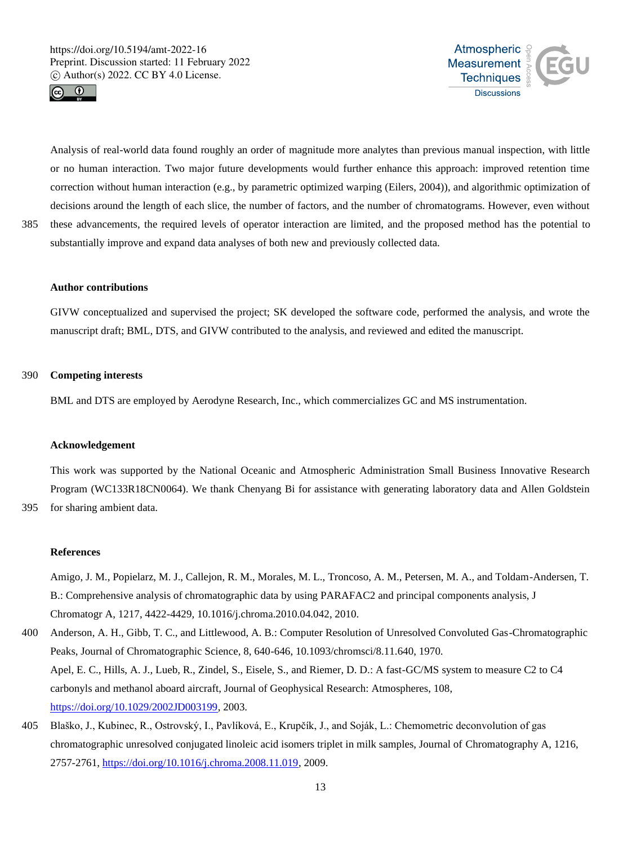



Analysis of real-world data found roughly an order of magnitude more analytes than previous manual inspection, with little or no human interaction. Two major future developments would further enhance this approach: improved retention time correction without human interaction (e.g., by parametric optimized warping (Eilers, 2004)), and algorithmic optimization of decisions around the length of each slice, the number of factors, and the number of chromatograms. However, even without 385 these advancements, the required levels of operator interaction are limited, and the proposed method has the potential to substantially improve and expand data analyses of both new and previously collected data.

#### **Author contributions**

GIVW conceptualized and supervised the project; SK developed the software code, performed the analysis, and wrote the manuscript draft; BML, DTS, and GIVW contributed to the analysis, and reviewed and edited the manuscript.

## 390 **Competing interests**

BML and DTS are employed by Aerodyne Research, Inc., which commercializes GC and MS instrumentation.

#### **Acknowledgement**

This work was supported by the National Oceanic and Atmospheric Administration Small Business Innovative Research Program (WC133R18CN0064). We thank Chenyang Bi for assistance with generating laboratory data and Allen Goldstein

395 for sharing ambient data.

## **References**

Amigo, J. M., Popielarz, M. J., Callejon, R. M., Morales, M. L., Troncoso, A. M., Petersen, M. A., and Toldam-Andersen, T. B.: Comprehensive analysis of chromatographic data by using PARAFAC2 and principal components analysis, J Chromatogr A, 1217, 4422-4429, 10.1016/j.chroma.2010.04.042, 2010.

- 400 Anderson, A. H., Gibb, T. C., and Littlewood, A. B.: Computer Resolution of Unresolved Convoluted Gas-Chromatographic Peaks, Journal of Chromatographic Science, 8, 640-646, 10.1093/chromsci/8.11.640, 1970. Apel, E. C., Hills, A. J., Lueb, R., Zindel, S., Eisele, S., and Riemer, D. D.: A fast-GC/MS system to measure C2 to C4 carbonyls and methanol aboard aircraft, Journal of Geophysical Research: Atmospheres, 108, https://doi.org/10.1029/2002JD003199, 2003.
- 405 Blaško, J., Kubinec, R., Ostrovský, I., Pavlíková, E., Krupčík, J., and Soják, L.: Chemometric deconvolution of gas chromatographic unresolved conjugated linoleic acid isomers triplet in milk samples, Journal of Chromatography A, 1216, 2757-2761, https://doi.org/10.1016/j.chroma.2008.11.019, 2009.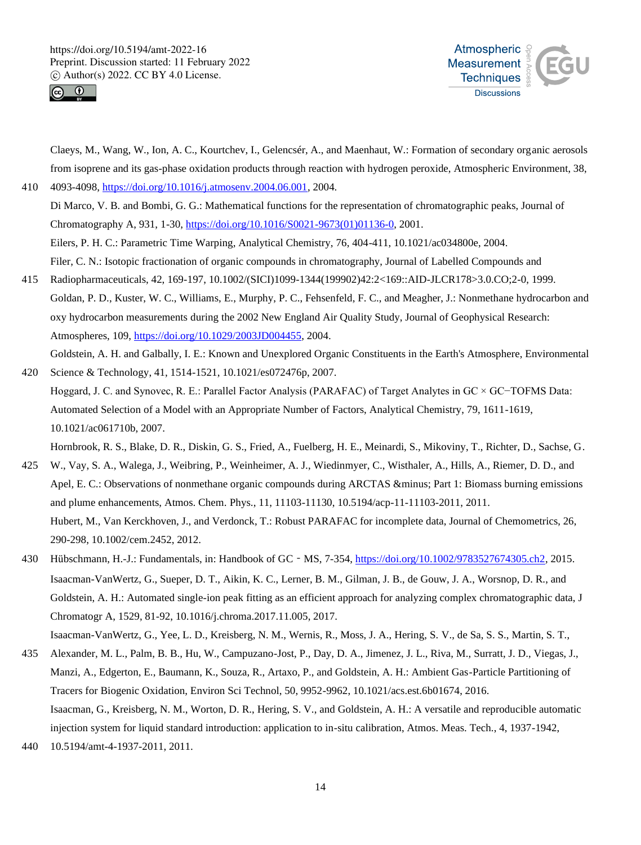



Claeys, M., Wang, W., Ion, A. C., Kourtchev, I., Gelencsér, A., and Maenhaut, W.: Formation of secondary organic aerosols from isoprene and its gas-phase oxidation products through reaction with hydrogen peroxide, Atmospheric Environment, 38, 410 4093-4098, https://doi.org/10.1016/j.atmosenv.2004.06.001, 2004.

Di Marco, V. B. and Bombi, G. G.: Mathematical functions for the representation of chromatographic peaks, Journal of Chromatography A, 931, 1-30, https://doi.org/10.1016/S0021-9673(01)01136-0, 2001. Eilers, P. H. C.: Parametric Time Warping, Analytical Chemistry, 76, 404-411, 10.1021/ac034800e, 2004. Filer, C. N.: Isotopic fractionation of organic compounds in chromatography, Journal of Labelled Compounds and

- 415 Radiopharmaceuticals, 42, 169-197, 10.1002/(SICI)1099-1344(199902)42:2<169::AID-JLCR178>3.0.CO;2-0, 1999. Goldan, P. D., Kuster, W. C., Williams, E., Murphy, P. C., Fehsenfeld, F. C., and Meagher, J.: Nonmethane hydrocarbon and oxy hydrocarbon measurements during the 2002 New England Air Quality Study, Journal of Geophysical Research: Atmospheres, 109, https://doi.org/10.1029/2003JD004455, 2004. Goldstein, A. H. and Galbally, I. E.: Known and Unexplored Organic Constituents in the Earth's Atmosphere, Environmental
- 420 Science & Technology, 41, 1514-1521, 10.1021/es072476p, 2007. Hoggard, J. C. and Synovec, R. E.: Parallel Factor Analysis (PARAFAC) of Target Analytes in GC × GC−TOFMS Data:  Automated Selection of a Model with an Appropriate Number of Factors, Analytical Chemistry, 79, 1611-1619, 10.1021/ac061710b, 2007.

Hornbrook, R. S., Blake, D. R., Diskin, G. S., Fried, A., Fuelberg, H. E., Meinardi, S., Mikoviny, T., Richter, D., Sachse, G.

- 425 W., Vay, S. A., Walega, J., Weibring, P., Weinheimer, A. J., Wiedinmyer, C., Wisthaler, A., Hills, A., Riemer, D. D., and Apel, E. C.: Observations of nonmethane organic compounds during ARCTAS & minus; Part 1: Biomass burning emissions and plume enhancements, Atmos. Chem. Phys., 11, 11103-11130, 10.5194/acp-11-11103-2011, 2011. Hubert, M., Van Kerckhoven, J., and Verdonck, T.: Robust PARAFAC for incomplete data, Journal of Chemometrics, 26, 290-298, 10.1002/cem.2452, 2012.
- 430 Hübschmann, H.-J.: Fundamentals, in: Handbook of GC‐MS, 7-354, https://doi.org/10.1002/9783527674305.ch2, 2015. Isaacman-VanWertz, G., Sueper, D. T., Aikin, K. C., Lerner, B. M., Gilman, J. B., de Gouw, J. A., Worsnop, D. R., and Goldstein, A. H.: Automated single-ion peak fitting as an efficient approach for analyzing complex chromatographic data, J Chromatogr A, 1529, 81-92, 10.1016/j.chroma.2017.11.005, 2017. Isaacman-VanWertz, G., Yee, L. D., Kreisberg, N. M., Wernis, R., Moss, J. A., Hering, S. V., de Sa, S. S., Martin, S. T.,
- 435 Alexander, M. L., Palm, B. B., Hu, W., Campuzano-Jost, P., Day, D. A., Jimenez, J. L., Riva, M., Surratt, J. D., Viegas, J., Manzi, A., Edgerton, E., Baumann, K., Souza, R., Artaxo, P., and Goldstein, A. H.: Ambient Gas-Particle Partitioning of Tracers for Biogenic Oxidation, Environ Sci Technol, 50, 9952-9962, 10.1021/acs.est.6b01674, 2016. Isaacman, G., Kreisberg, N. M., Worton, D. R., Hering, S. V., and Goldstein, A. H.: A versatile and reproducible automatic injection system for liquid standard introduction: application to in-situ calibration, Atmos. Meas. Tech., 4, 1937-1942,
- 440 10.5194/amt-4-1937-2011, 2011.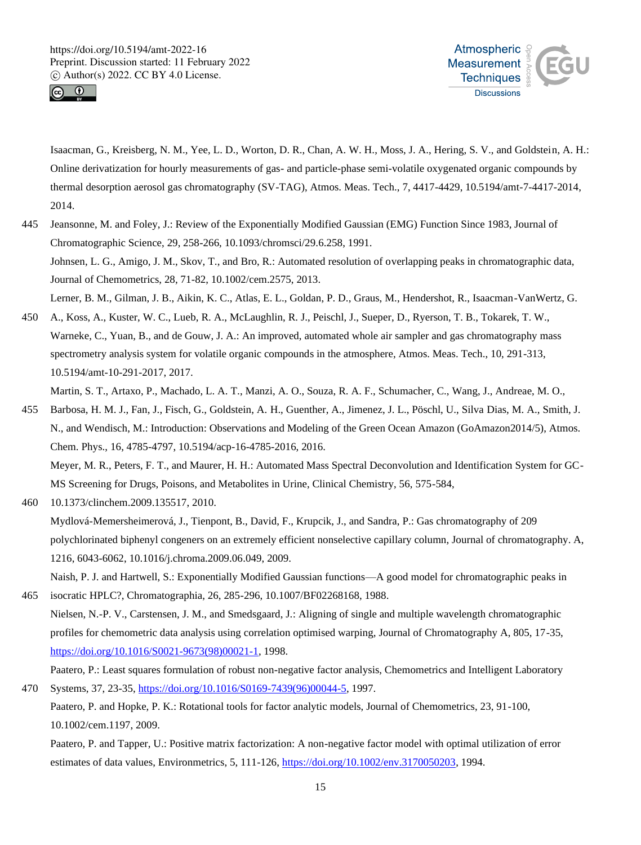



Isaacman, G., Kreisberg, N. M., Yee, L. D., Worton, D. R., Chan, A. W. H., Moss, J. A., Hering, S. V., and Goldstein, A. H.: Online derivatization for hourly measurements of gas- and particle-phase semi-volatile oxygenated organic compounds by thermal desorption aerosol gas chromatography (SV-TAG), Atmos. Meas. Tech., 7, 4417-4429, 10.5194/amt-7-4417-2014, 2014.

- 445 Jeansonne, M. and Foley, J.: Review of the Exponentially Modified Gaussian (EMG) Function Since 1983, Journal of Chromatographic Science, 29, 258-266, 10.1093/chromsci/29.6.258, 1991. Johnsen, L. G., Amigo, J. M., Skov, T., and Bro, R.: Automated resolution of overlapping peaks in chromatographic data, Journal of Chemometrics, 28, 71-82, 10.1002/cem.2575, 2013. Lerner, B. M., Gilman, J. B., Aikin, K. C., Atlas, E. L., Goldan, P. D., Graus, M., Hendershot, R., Isaacman-VanWertz, G.
- 450 A., Koss, A., Kuster, W. C., Lueb, R. A., McLaughlin, R. J., Peischl, J., Sueper, D., Ryerson, T. B., Tokarek, T. W., Warneke, C., Yuan, B., and de Gouw, J. A.: An improved, automated whole air sampler and gas chromatography mass spectrometry analysis system for volatile organic compounds in the atmosphere, Atmos. Meas. Tech., 10, 291-313, 10.5194/amt-10-291-2017, 2017.

Martin, S. T., Artaxo, P., Machado, L. A. T., Manzi, A. O., Souza, R. A. F., Schumacher, C., Wang, J., Andreae, M. O.,

455 Barbosa, H. M. J., Fan, J., Fisch, G., Goldstein, A. H., Guenther, A., Jimenez, J. L., Pöschl, U., Silva Dias, M. A., Smith, J. N., and Wendisch, M.: Introduction: Observations and Modeling of the Green Ocean Amazon (GoAmazon2014/5), Atmos. Chem. Phys., 16, 4785-4797, 10.5194/acp-16-4785-2016, 2016. Meyer, M. R., Peters, F. T., and Maurer, H. H.: Automated Mass Spectral Deconvolution and Identification System for GC-

MS Screening for Drugs, Poisons, and Metabolites in Urine, Clinical Chemistry, 56, 575-584,

460 10.1373/clinchem.2009.135517, 2010.

Mydlová-Memersheimerová, J., Tienpont, B., David, F., Krupcik, J., and Sandra, P.: Gas chromatography of 209 polychlorinated biphenyl congeners on an extremely efficient nonselective capillary column, Journal of chromatography. A, 1216, 6043-6062, 10.1016/j.chroma.2009.06.049, 2009.

Naish, P. J. and Hartwell, S.: Exponentially Modified Gaussian functions—A good model for chromatographic peaks in 465 isocratic HPLC?, Chromatographia, 26, 285-296, 10.1007/BF02268168, 1988.

Nielsen, N.-P. V., Carstensen, J. M., and Smedsgaard, J.: Aligning of single and multiple wavelength chromatographic profiles for chemometric data analysis using correlation optimised warping, Journal of Chromatography A, 805, 17-35, https://doi.org/10.1016/S0021-9673(98)00021-1, 1998.

Paatero, P.: Least squares formulation of robust non-negative factor analysis, Chemometrics and Intelligent Laboratory 470 Systems, 37, 23-35, https://doi.org/10.1016/S0169-7439(96)00044-5, 1997.

Paatero, P. and Hopke, P. K.: Rotational tools for factor analytic models, Journal of Chemometrics, 23, 91-100, 10.1002/cem.1197, 2009.

Paatero, P. and Tapper, U.: Positive matrix factorization: A non-negative factor model with optimal utilization of error estimates of data values, Environmetrics, 5, 111-126, https://doi.org/10.1002/env.3170050203, 1994.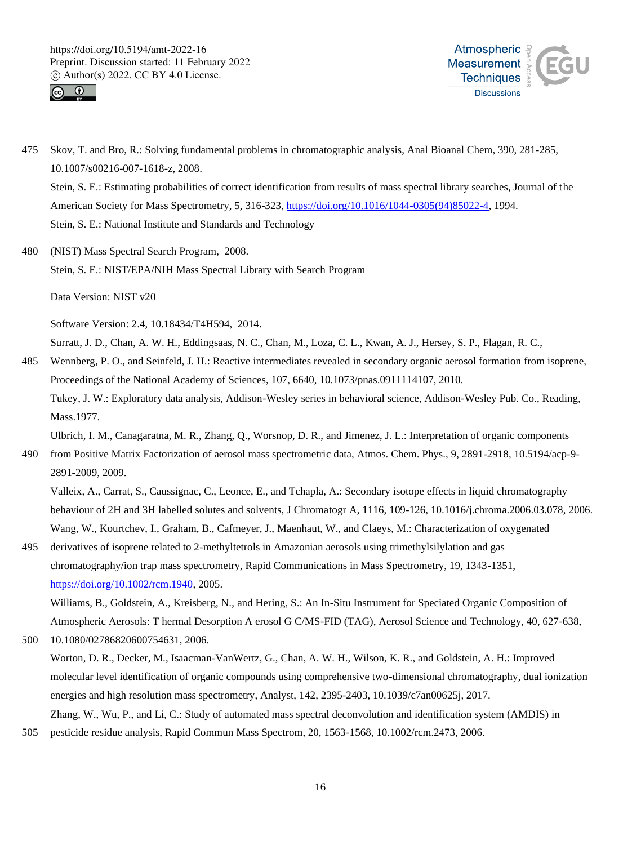



- 475 Skov, T. and Bro, R.: Solving fundamental problems in chromatographic analysis, Anal Bioanal Chem, 390, 281-285, 10.1007/s00216-007-1618-z, 2008. Stein, S. E.: Estimating probabilities of correct identification from results of mass spectral library searches, Journal of the American Society for Mass Spectrometry, 5, 316-323, https://doi.org/10.1016/1044-0305(94)85022-4, 1994. Stein, S. E.: National Institute and Standards and Technology
- 480 (NIST) Mass Spectral Search Program, 2008. Stein, S. E.: NIST/EPA/NIH Mass Spectral Library with Search Program

Data Version: NIST v20

Software Version: 2.4, 10.18434/T4H594, 2014.

Surratt, J. D., Chan, A. W. H., Eddingsaas, N. C., Chan, M., Loza, C. L., Kwan, A. J., Hersey, S. P., Flagan, R. C.,

485 Wennberg, P. O., and Seinfeld, J. H.: Reactive intermediates revealed in secondary organic aerosol formation from isoprene, Proceedings of the National Academy of Sciences, 107, 6640, 10.1073/pnas.0911114107, 2010. Tukey, J. W.: Exploratory data analysis, Addison-Wesley series in behavioral science, Addison-Wesley Pub. Co., Reading, Mass.1977.

Ulbrich, I. M., Canagaratna, M. R., Zhang, Q., Worsnop, D. R., and Jimenez, J. L.: Interpretation of organic components

490 from Positive Matrix Factorization of aerosol mass spectrometric data, Atmos. Chem. Phys., 9, 2891-2918, 10.5194/acp-9- 2891-2009, 2009.

Valleix, A., Carrat, S., Caussignac, C., Leonce, E., and Tchapla, A.: Secondary isotope effects in liquid chromatography behaviour of 2H and 3H labelled solutes and solvents, J Chromatogr A, 1116, 109-126, 10.1016/j.chroma.2006.03.078, 2006. Wang, W., Kourtchev, I., Graham, B., Cafmeyer, J., Maenhaut, W., and Claeys, M.: Characterization of oxygenated

495 derivatives of isoprene related to 2-methyltetrols in Amazonian aerosols using trimethylsilylation and gas chromatography/ion trap mass spectrometry, Rapid Communications in Mass Spectrometry, 19, 1343-1351, https://doi.org/10.1002/rcm.1940, 2005.

Williams, B., Goldstein, A., Kreisberg, N., and Hering, S.: An In-Situ Instrument for Speciated Organic Composition of Atmospheric Aerosols: T hermal Desorption A erosol G C/MS-FID (TAG), Aerosol Science and Technology, 40, 627-638, 500 10.1080/02786820600754631, 2006.

Worton, D. R., Decker, M., Isaacman-VanWertz, G., Chan, A. W. H., Wilson, K. R., and Goldstein, A. H.: Improved molecular level identification of organic compounds using comprehensive two-dimensional chromatography, dual ionization energies and high resolution mass spectrometry, Analyst, 142, 2395-2403, 10.1039/c7an00625j, 2017. Zhang, W., Wu, P., and Li, C.: Study of automated mass spectral deconvolution and identification system (AMDIS) in

505 pesticide residue analysis, Rapid Commun Mass Spectrom, 20, 1563-1568, 10.1002/rcm.2473, 2006.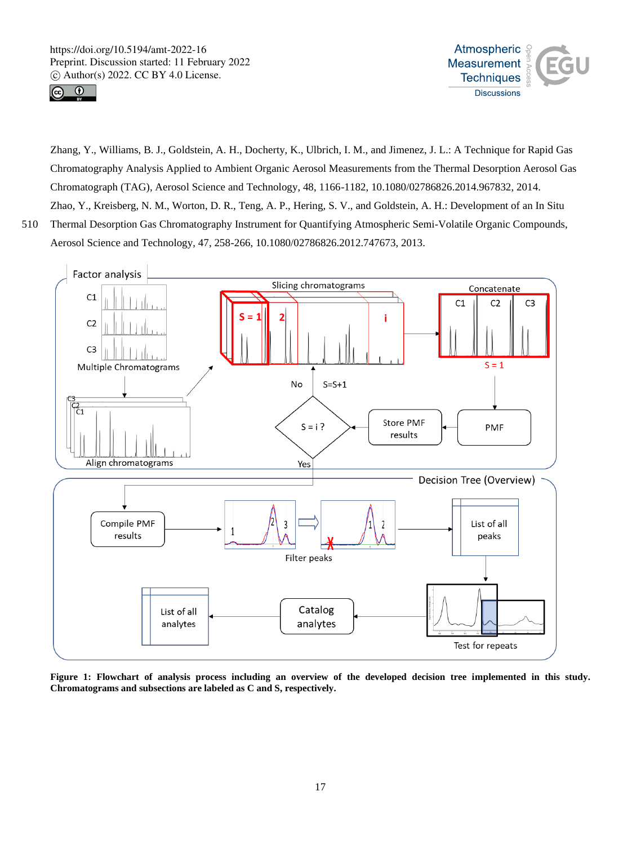



Zhang, Y., Williams, B. J., Goldstein, A. H., Docherty, K., Ulbrich, I. M., and Jimenez, J. L.: A Technique for Rapid Gas Chromatography Analysis Applied to Ambient Organic Aerosol Measurements from the Thermal Desorption Aerosol Gas Chromatograph (TAG), Aerosol Science and Technology, 48, 1166-1182, 10.1080/02786826.2014.967832, 2014. Zhao, Y., Kreisberg, N. M., Worton, D. R., Teng, A. P., Hering, S. V., and Goldstein, A. H.: Development of an In Situ 510 Thermal Desorption Gas Chromatography Instrument for Quantifying Atmospheric Semi-Volatile Organic Compounds,



Aerosol Science and Technology, 47, 258-266, 10.1080/02786826.2012.747673, 2013.



**Figure 1: Flowchart of analysis process including an overview of the developed decision tree implemented in this study. Chromatograms and subsections are labeled as C and S, respectively.**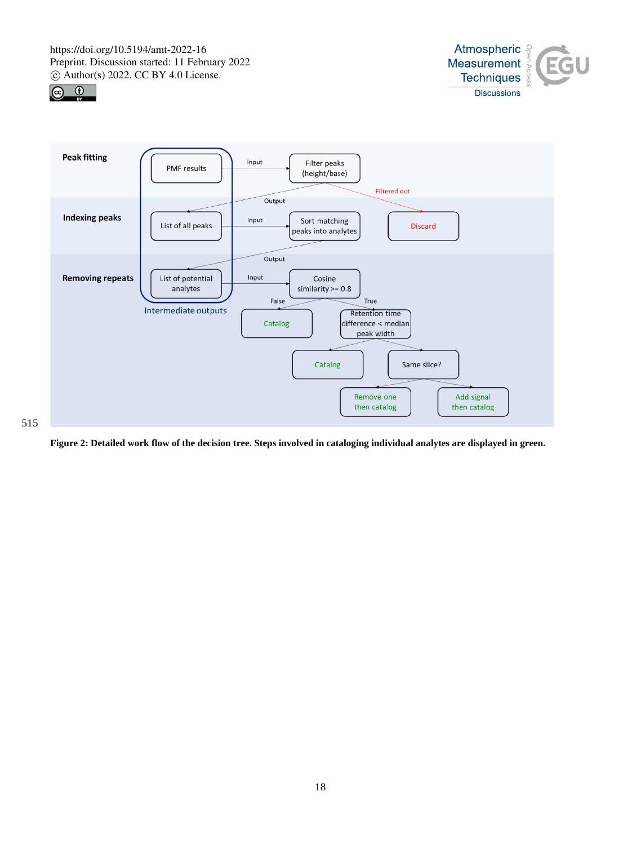





**Figure 2: Detailed work flow of the decision tree. Steps involved in cataloging individual analytes are displayed in green.**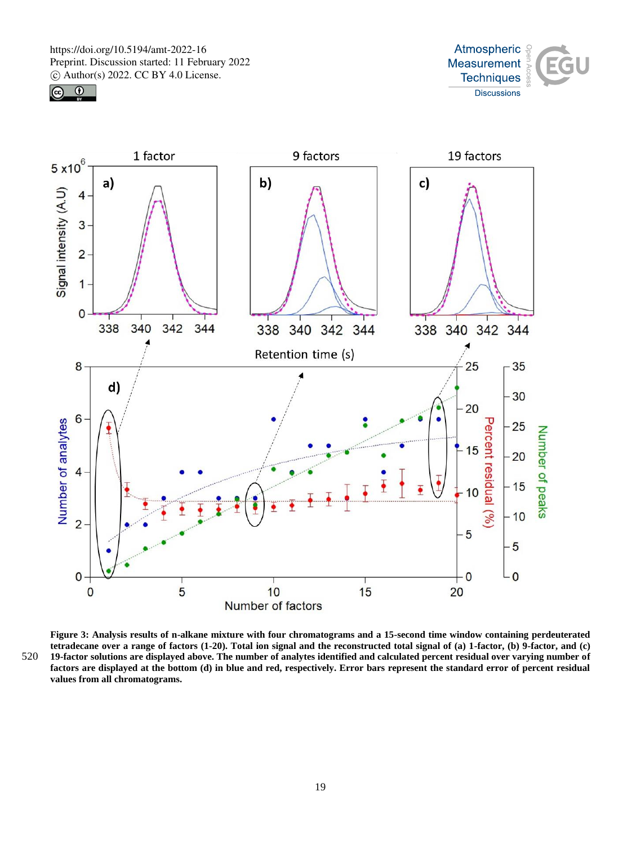





**Figure 3: Analysis results of n-alkane mixture with four chromatograms and a 15-second time window containing perdeuterated tetradecane over a range of factors (1-20). Total ion signal and the reconstructed total signal of (a) 1-factor, (b) 9-factor, and (c)**  520 **19-factor solutions are displayed above. The number of analytes identified and calculated percent residual over varying number of factors are displayed at the bottom (d) in blue and red, respectively. Error bars represent the standard error of percent residual values from all chromatograms.**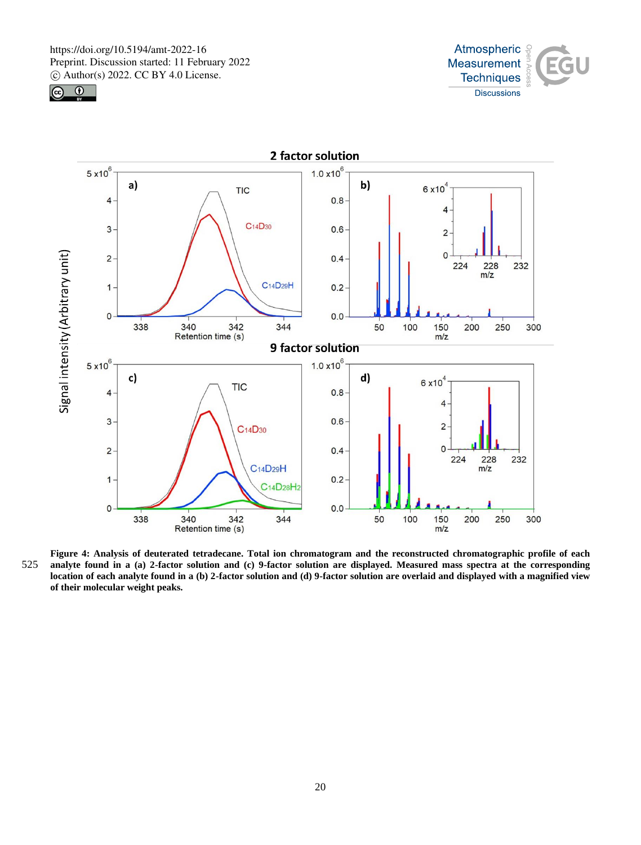





**Figure 4: Analysis of deuterated tetradecane. Total ion chromatogram and the reconstructed chromatographic profile of each**  525 **analyte found in a (a) 2-factor solution and (c) 9-factor solution are displayed. Measured mass spectra at the corresponding location of each analyte found in a (b) 2-factor solution and (d) 9-factor solution are overlaid and displayed with a magnified view of their molecular weight peaks.**